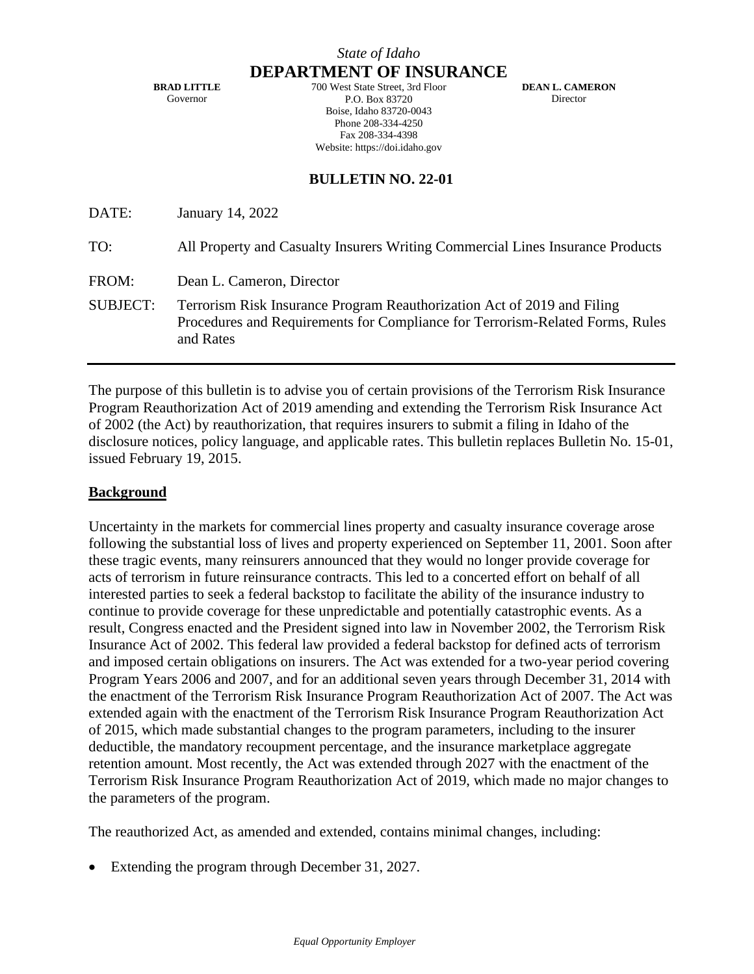**BRAD LITTLE** Governor

**DEPARTMENT OF INSURANCE** 700 West State Street, 3rd Floor P.O. Box 83720 Boise, Idaho 83720-0043 Phone 208-334-4250 Fax 208-334-4398 Website: https://doi.idaho.gov

**DEAN L. CAMERON Director** 

# **BULLETIN NO. 22-01**

| DATE:           | January 14, 2022                                                                                                                                                      |
|-----------------|-----------------------------------------------------------------------------------------------------------------------------------------------------------------------|
| TO:             | All Property and Casualty Insurers Writing Commercial Lines Insurance Products                                                                                        |
| FROM:           | Dean L. Cameron, Director                                                                                                                                             |
| <b>SUBJECT:</b> | Terrorism Risk Insurance Program Reauthorization Act of 2019 and Filing<br>Procedures and Requirements for Compliance for Terrorism-Related Forms, Rules<br>and Rates |

The purpose of this bulletin is to advise you of certain provisions of the Terrorism Risk Insurance Program Reauthorization Act of 2019 amending and extending the Terrorism Risk Insurance Act of 2002 (the Act) by reauthorization, that requires insurers to submit a filing in Idaho of the disclosure notices, policy language, and applicable rates. This bulletin replaces Bulletin No. 15-01, issued February 19, 2015.

### **Background**

Uncertainty in the markets for commercial lines property and casualty insurance coverage arose following the substantial loss of lives and property experienced on September 11, 2001. Soon after these tragic events, many reinsurers announced that they would no longer provide coverage for acts of terrorism in future reinsurance contracts. This led to a concerted effort on behalf of all interested parties to seek a federal backstop to facilitate the ability of the insurance industry to continue to provide coverage for these unpredictable and potentially catastrophic events. As a result, Congress enacted and the President signed into law in November 2002, the Terrorism Risk Insurance Act of 2002. This federal law provided a federal backstop for defined acts of terrorism and imposed certain obligations on insurers. The Act was extended for a two-year period covering Program Years 2006 and 2007, and for an additional seven years through December 31, 2014 with the enactment of the Terrorism Risk Insurance Program Reauthorization Act of 2007. The Act was extended again with the enactment of the Terrorism Risk Insurance Program Reauthorization Act of 2015, which made substantial changes to the program parameters, including to the insurer deductible, the mandatory recoupment percentage, and the insurance marketplace aggregate retention amount. Most recently, the Act was extended through 2027 with the enactment of the Terrorism Risk Insurance Program Reauthorization Act of 2019, which made no major changes to the parameters of the program.

The reauthorized Act, as amended and extended, contains minimal changes, including:

• Extending the program through December 31, 2027.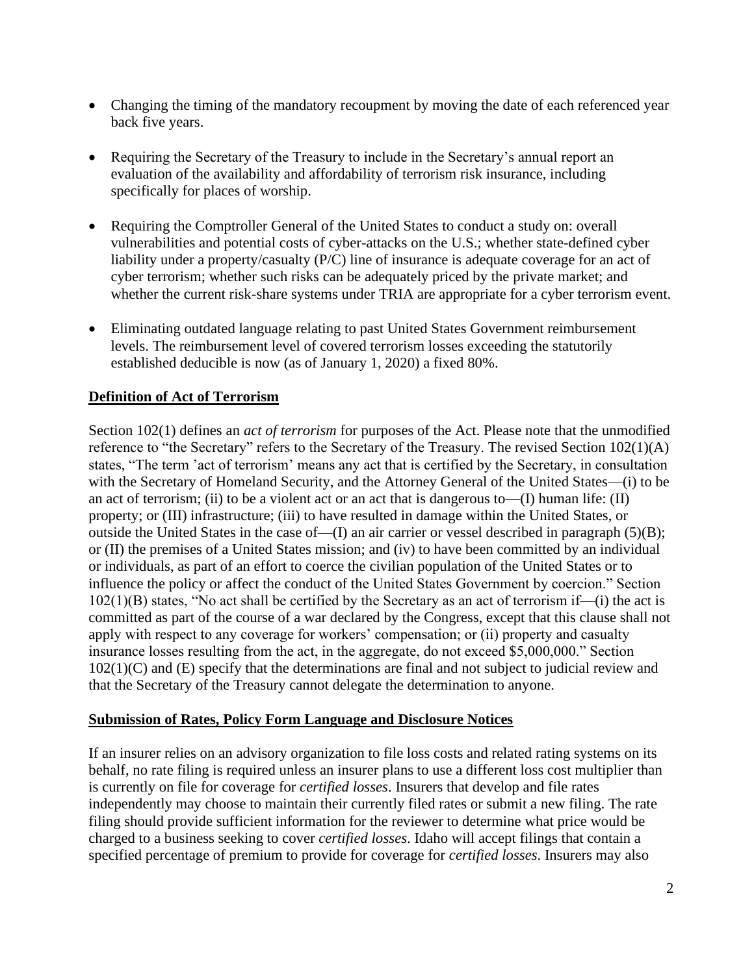- Changing the timing of the mandatory recoupment by moving the date of each referenced year back five years.
- Requiring the Secretary of the Treasury to include in the Secretary's annual report an evaluation of the availability and affordability of terrorism risk insurance, including specifically for places of worship.
- Requiring the Comptroller General of the United States to conduct a study on: overall vulnerabilities and potential costs of cyber-attacks on the U.S.; whether state-defined cyber liability under a property/casualty (P/C) line of insurance is adequate coverage for an act of cyber terrorism; whether such risks can be adequately priced by the private market; and whether the current risk-share systems under TRIA are appropriate for a cyber terrorism event.
- Eliminating outdated language relating to past United States Government reimbursement levels. The reimbursement level of covered terrorism losses exceeding the statutorily established deducible is now (as of January 1, 2020) a fixed 80%.

# **Definition of Act of Terrorism**

Section 102(1) defines an *act of terrorism* for purposes of the Act. Please note that the unmodified reference to "the Secretary" refers to the Secretary of the Treasury. The revised Section 102(1)(A) states, "The term 'act of terrorism' means any act that is certified by the Secretary, in consultation with the Secretary of Homeland Security, and the Attorney General of the United States—(i) to be an act of terrorism; (ii) to be a violent act or an act that is dangerous to— $(I)$  human life:  $(II)$ property; or (III) infrastructure; (iii) to have resulted in damage within the United States, or outside the United States in the case of—(I) an air carrier or vessel described in paragraph (5)(B); or (II) the premises of a United States mission; and (iv) to have been committed by an individual or individuals, as part of an effort to coerce the civilian population of the United States or to influence the policy or affect the conduct of the United States Government by coercion." Section 102(1)(B) states, "No act shall be certified by the Secretary as an act of terrorism if—(i) the act is committed as part of the course of a war declared by the Congress, except that this clause shall not apply with respect to any coverage for workers' compensation; or (ii) property and casualty insurance losses resulting from the act, in the aggregate, do not exceed \$5,000,000." Section 102(1)(C) and (E) specify that the determinations are final and not subject to judicial review and that the Secretary of the Treasury cannot delegate the determination to anyone.

### **Submission of Rates, Policy Form Language and Disclosure Notices**

If an insurer relies on an advisory organization to file loss costs and related rating systems on its behalf, no rate filing is required unless an insurer plans to use a different loss cost multiplier than is currently on file for coverage for *certified losses*. Insurers that develop and file rates independently may choose to maintain their currently filed rates or submit a new filing. The rate filing should provide sufficient information for the reviewer to determine what price would be charged to a business seeking to cover *certified losses*. Idaho will accept filings that contain a specified percentage of premium to provide for coverage for *certified losses*. Insurers may also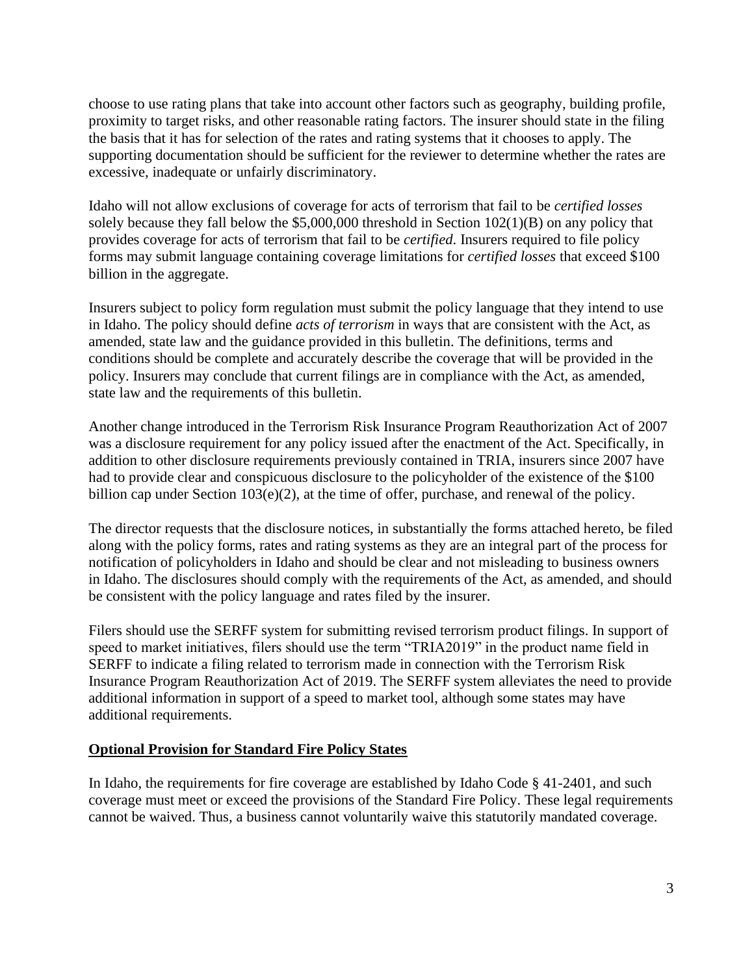choose to use rating plans that take into account other factors such as geography, building profile, proximity to target risks, and other reasonable rating factors. The insurer should state in the filing the basis that it has for selection of the rates and rating systems that it chooses to apply. The supporting documentation should be sufficient for the reviewer to determine whether the rates are excessive, inadequate or unfairly discriminatory.

Idaho will not allow exclusions of coverage for acts of terrorism that fail to be *certified losses*  solely because they fall below the \$5,000,000 threshold in Section 102(1)(B) on any policy that provides coverage for acts of terrorism that fail to be *certified*. Insurers required to file policy forms may submit language containing coverage limitations for *certified losses* that exceed \$100 billion in the aggregate.

Insurers subject to policy form regulation must submit the policy language that they intend to use in Idaho. The policy should define *acts of terrorism* in ways that are consistent with the Act, as amended, state law and the guidance provided in this bulletin. The definitions, terms and conditions should be complete and accurately describe the coverage that will be provided in the policy. Insurers may conclude that current filings are in compliance with the Act, as amended, state law and the requirements of this bulletin.

Another change introduced in the Terrorism Risk Insurance Program Reauthorization Act of 2007 was a disclosure requirement for any policy issued after the enactment of the Act. Specifically, in addition to other disclosure requirements previously contained in TRIA, insurers since 2007 have had to provide clear and conspicuous disclosure to the policyholder of the existence of the \$100 billion cap under Section 103(e)(2), at the time of offer, purchase, and renewal of the policy.

The director requests that the disclosure notices, in substantially the forms attached hereto, be filed along with the policy forms, rates and rating systems as they are an integral part of the process for notification of policyholders in Idaho and should be clear and not misleading to business owners in Idaho. The disclosures should comply with the requirements of the Act, as amended, and should be consistent with the policy language and rates filed by the insurer.

Filers should use the SERFF system for submitting revised terrorism product filings. In support of speed to market initiatives, filers should use the term "TRIA2019" in the product name field in SERFF to indicate a filing related to terrorism made in connection with the Terrorism Risk Insurance Program Reauthorization Act of 2019. The SERFF system alleviates the need to provide additional information in support of a speed to market tool, although some states may have additional requirements.

### **Optional Provision for Standard Fire Policy States**

In Idaho, the requirements for fire coverage are established by Idaho Code § 41-2401, and such coverage must meet or exceed the provisions of the Standard Fire Policy. These legal requirements cannot be waived. Thus, a business cannot voluntarily waive this statutorily mandated coverage.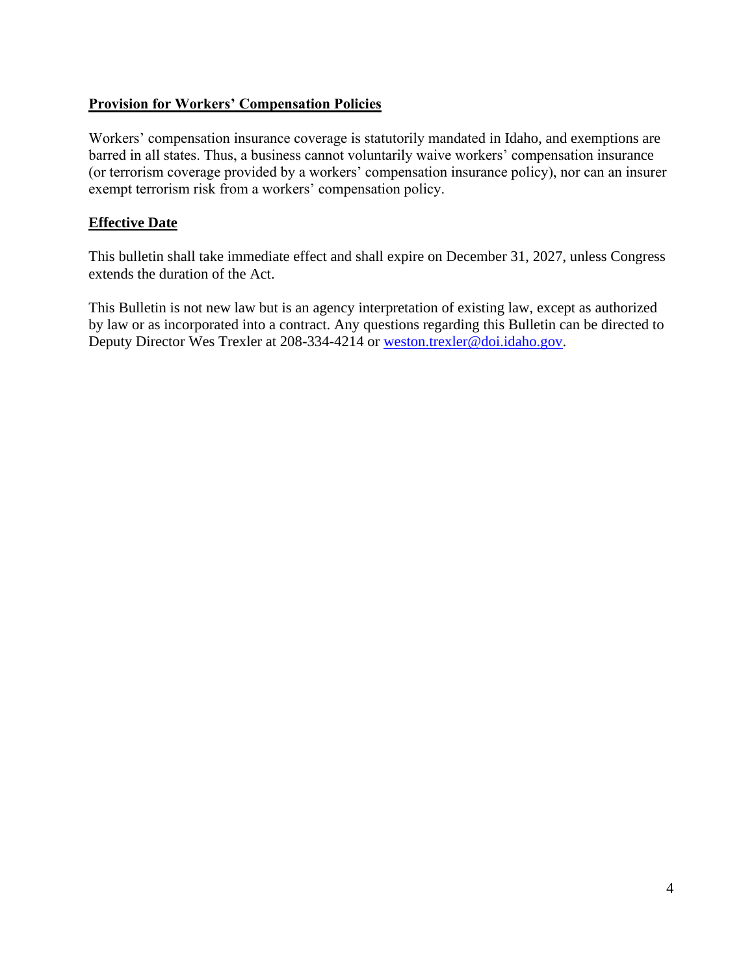## **Provision for Workers' Compensation Policies**

Workers' compensation insurance coverage is statutorily mandated in Idaho, and exemptions are barred in all states. Thus, a business cannot voluntarily waive workers' compensation insurance (or terrorism coverage provided by a workers' compensation insurance policy), nor can an insurer exempt terrorism risk from a workers' compensation policy.

## **Effective Date**

This bulletin shall take immediate effect and shall expire on December 31, 2027, unless Congress extends the duration of the Act.

This Bulletin is not new law but is an agency interpretation of existing law, except as authorized by law or as incorporated into a contract. Any questions regarding this Bulletin can be directed to Deputy Director Wes Trexler at 208-334-4214 or [weston.trexler@doi.idaho.gov.](mailto:weston.trexler@doi.idaho.gov)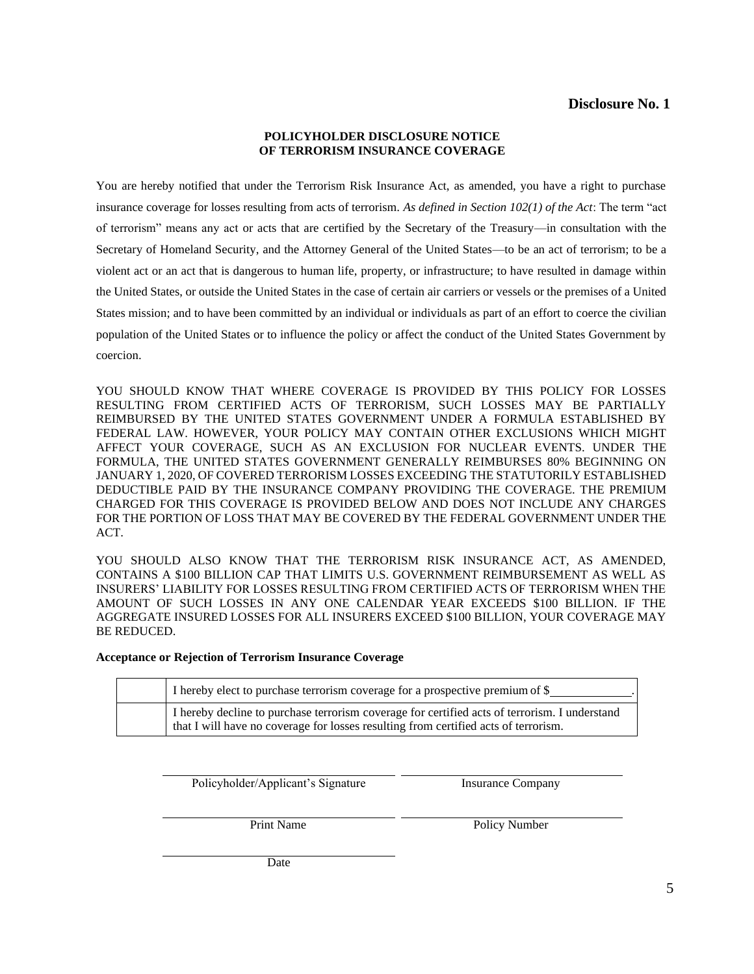#### **POLICYHOLDER DISCLOSURE NOTICE OF TERRORISM INSURANCE COVERAGE**

You are hereby notified that under the Terrorism Risk Insurance Act, as amended, you have a right to purchase insurance coverage for losses resulting from acts of terrorism. *As defined in Section 102(1) of the Act*: The term "act of terrorism" means any act or acts that are certified by the Secretary of the Treasury—in consultation with the Secretary of Homeland Security, and the Attorney General of the United States—to be an act of terrorism; to be a violent act or an act that is dangerous to human life, property, or infrastructure; to have resulted in damage within the United States, or outside the United States in the case of certain air carriers or vessels or the premises of a United States mission; and to have been committed by an individual or individuals as part of an effort to coerce the civilian population of the United States or to influence the policy or affect the conduct of the United States Government by coercion.

YOU SHOULD KNOW THAT WHERE COVERAGE IS PROVIDED BY THIS POLICY FOR LOSSES RESULTING FROM CERTIFIED ACTS OF TERRORISM, SUCH LOSSES MAY BE PARTIALLY REIMBURSED BY THE UNITED STATES GOVERNMENT UNDER A FORMULA ESTABLISHED BY FEDERAL LAW. HOWEVER, YOUR POLICY MAY CONTAIN OTHER EXCLUSIONS WHICH MIGHT AFFECT YOUR COVERAGE, SUCH AS AN EXCLUSION FOR NUCLEAR EVENTS. UNDER THE FORMULA, THE UNITED STATES GOVERNMENT GENERALLY REIMBURSES 80% BEGINNING ON JANUARY 1, 2020, OF COVERED TERRORISM LOSSES EXCEEDING THE STATUTORILY ESTABLISHED DEDUCTIBLE PAID BY THE INSURANCE COMPANY PROVIDING THE COVERAGE. THE PREMIUM CHARGED FOR THIS COVERAGE IS PROVIDED BELOW AND DOES NOT INCLUDE ANY CHARGES FOR THE PORTION OF LOSS THAT MAY BE COVERED BY THE FEDERAL GOVERNMENT UNDER THE ACT.

YOU SHOULD ALSO KNOW THAT THE TERRORISM RISK INSURANCE ACT, AS AMENDED, CONTAINS A \$100 BILLION CAP THAT LIMITS U.S. GOVERNMENT REIMBURSEMENT AS WELL AS INSURERS' LIABILITY FOR LOSSES RESULTING FROM CERTIFIED ACTS OF TERRORISM WHEN THE AMOUNT OF SUCH LOSSES IN ANY ONE CALENDAR YEAR EXCEEDS \$100 BILLION. IF THE AGGREGATE INSURED LOSSES FOR ALL INSURERS EXCEED \$100 BILLION, YOUR COVERAGE MAY BE REDUCED.

#### **Acceptance or Rejection of Terrorism Insurance Coverage**

|  | I hereby elect to purchase terrorism coverage for a prospective premium of \$                                                                                                        |  |
|--|--------------------------------------------------------------------------------------------------------------------------------------------------------------------------------------|--|
|  | I hereby decline to purchase terrorism coverage for certified acts of terrorism. I understand<br>that I will have no coverage for losses resulting from certified acts of terrorism. |  |

Policyholder/Applicant's Signature Insurance Company

Print Name Policy Number

Date